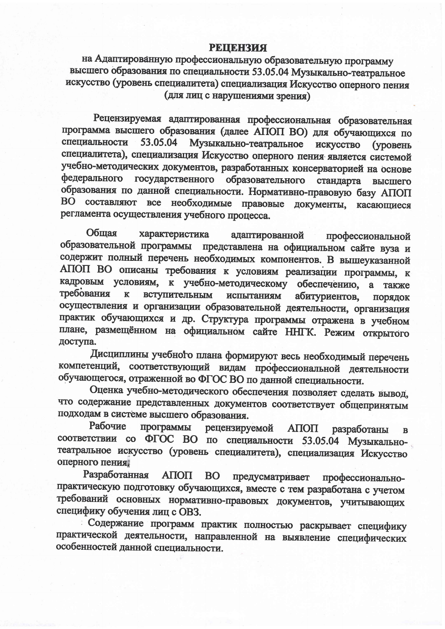## **РЕШЕНЗИЯ**

на Адаптированную профессиональную образовательную программу высшего образования по специальности 53.05.04 Музыкально-театральное искусство (уровень специалитета) специализация Искусство оперного пения (для лиц с нарушениями зрения)

Рецензируемая адаптированная профессиональная образовательная программа высшего образования (далее АПОП ВО) для обучающихся по 53.05.04 Музыкально-театральное искусство (уровень специальности специалитета), специализация Искусство оперного пения является системой учебно-методических документов, разработанных консерваторией на основе федерального государственного образовательного стандарта высшего образования по данной специальности. Нормативно-правовую базу АПОП ВО составляют все необходимые правовые документы, касающиеся регламента осуществления учебного процесса.

Общая характеристика адаптированной профессиональной образовательной программы представлена на официальном сайте вуза и содержит полный перечень необходимых компонентов. В вышеуказанной АПОП ВО описаны требования к условиям реализации программы, к кадровым условиям, к учебно-методическому обеспечению, а также требования вступительным  $\mathbf{K}$ испытаниям абитуриентов, ПОРЯДОК осуществления и организации образовательной деятельности, организация практик обучающихся и др. Структура программы отражена в учебном плане, размещённом на официальном сайте ННГК. Режим открытого доступа.

Дисциплины учебного плана формируют весь необходимый перечень компетенций, соответствующий видам профессиональной деятельности обучающегося, отраженной во ФГОС ВО по данной специальности.

Оценка учебно-методического обеспечения позволяет сделать вывод, что содержание представленных документов соответствует общепринятым подходам в системе высшего образования.

Рабочие программы рецензируемой АПОП разработаны  $\mathbf{B}$ соответствии со ФГОС ВО по специальности 53.05.04 Музыкальнотеатральное искусство (уровень специалитета), специализация Искусство оперного пения

Разработанная ΑΠΟΠ **BO** предусматривает профессиональнопрактическую подготовку обучающихся, вместе с тем разработана с учетом требований основных нормативно-правовых документов, учитывающих специфику обучения лиц с OB3.

Содержание программ практик полностью раскрывает специфику практической деятельности, направленной на выявление специфических особенностей данной специальности.